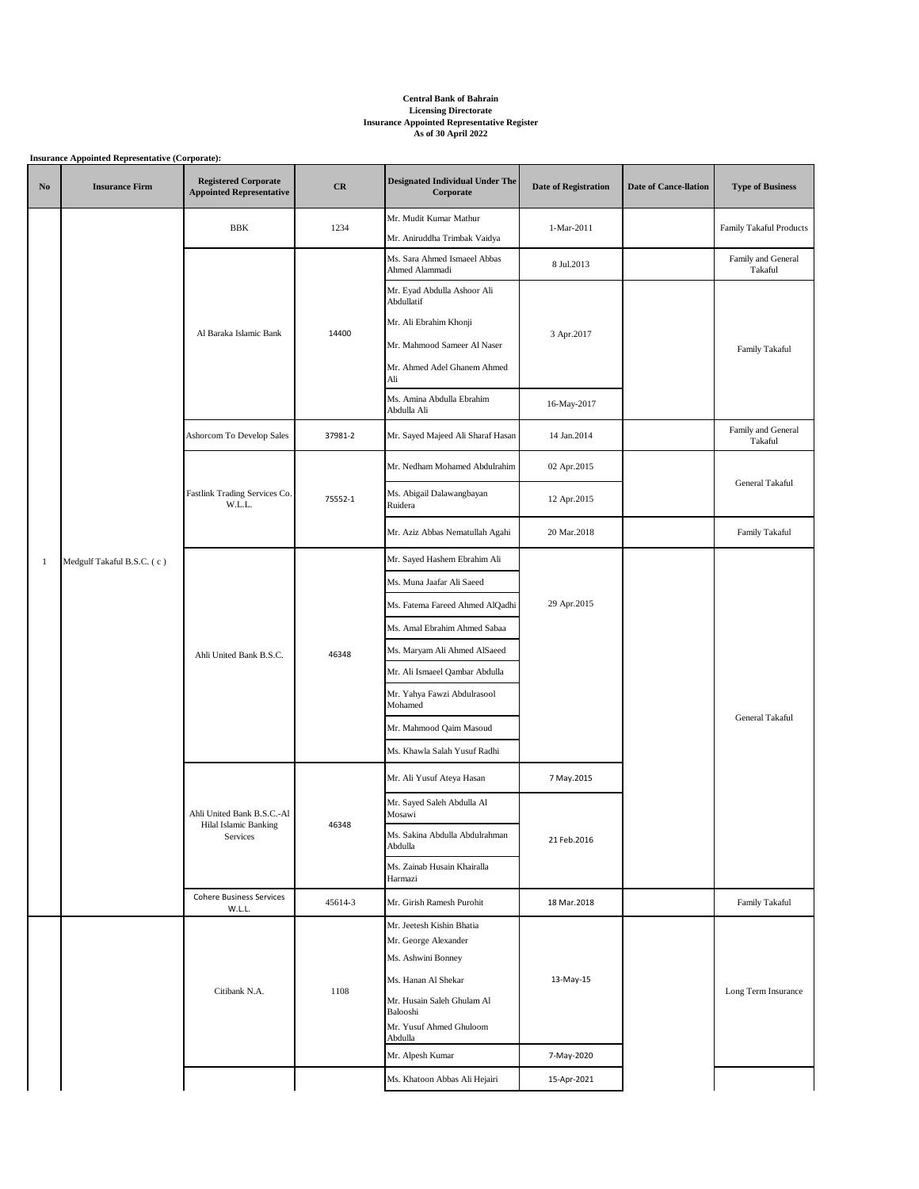## **Central Bank of Bahrain Licensing Directorate Insurance Appointed Representative Register As of 30 April 2022**

|              | <b>Insurance Appointed Representative (Corporate):</b> |                                                                 |         |                                                     |                             |                              |                               |  |
|--------------|--------------------------------------------------------|-----------------------------------------------------------------|---------|-----------------------------------------------------|-----------------------------|------------------------------|-------------------------------|--|
| No           | <b>Insurance Firm</b>                                  | <b>Registered Corporate</b><br><b>Appointed Representative</b>  | CR      | <b>Designated Individual Under The</b><br>Corporate | <b>Date of Registration</b> | <b>Date of Cance-llation</b> | <b>Type of Business</b>       |  |
|              |                                                        | BBK                                                             | 1234    | Mr. Mudit Kumar Mathur                              | 1-Mar-2011                  |                              | Family Takaful Products       |  |
|              |                                                        |                                                                 |         | Mr. Aniruddha Trimbak Vaidya                        |                             |                              |                               |  |
|              |                                                        |                                                                 |         | Ms. Sara Ahmed Ismaeel Abbas<br>Ahmed Alammadi      | 8 Jul.2013                  |                              | Family and General<br>Takaful |  |
|              |                                                        |                                                                 | 14400   | Mr. Eyad Abdulla Ashoor Ali<br>Abdullatif           |                             |                              |                               |  |
|              |                                                        | Al Baraka Islamic Bank                                          |         | Mr. Ali Ebrahim Khonji                              |                             |                              |                               |  |
|              |                                                        |                                                                 |         | Mr. Mahmood Sameer Al Naser                         | 3 Apr.2017                  |                              | Family Takaful                |  |
|              |                                                        |                                                                 |         | Mr. Ahmed Adel Ghanem Ahmed<br>Ali                  |                             |                              |                               |  |
|              |                                                        |                                                                 |         | Ms. Amina Abdulla Ebrahim<br>Abdulla Ali            | 16-May-2017                 |                              |                               |  |
|              |                                                        | Ashorcom To Develop Sales                                       | 37981-2 | Mr. Sayed Majeed Ali Sharaf Hasan                   | 14 Jan.2014                 |                              | Family and General<br>Takaful |  |
|              |                                                        |                                                                 |         | Mr. Nedham Mohamed Abdulrahim                       | 02 Apr.2015                 |                              | General Takaful               |  |
|              |                                                        | Fastlink Trading Services Co.<br>W.L.L.                         | 75552-1 | Ms. Abigail Dalawangbayan<br>Ruidera                | 12 Apr.2015                 |                              |                               |  |
|              |                                                        |                                                                 |         | Mr. Aziz Abbas Nematullah Agahi                     | 20 Mar.2018                 |                              | Family Takaful                |  |
| $\mathbf{1}$ | Medgulf Takaful B.S.C. (c)                             | Ahli United Bank B.S.C.                                         |         | Mr. Sayed Hashem Ebrahim Ali                        | 29 Apr.2015                 |                              |                               |  |
|              |                                                        |                                                                 | 46348   | Ms. Muna Jaafar Ali Saeed                           |                             |                              | General Takaful               |  |
|              |                                                        |                                                                 |         | Ms. Fatema Fareed Ahmed AlQadhi                     |                             |                              |                               |  |
|              |                                                        |                                                                 |         | Ms. Amal Ebrahim Ahmed Sabaa                        |                             |                              |                               |  |
|              |                                                        |                                                                 |         | Ms. Maryam Ali Ahmed AlSaeed                        |                             |                              |                               |  |
|              |                                                        |                                                                 |         | Mr. Ali Ismaeel Qambar Abdulla                      |                             |                              |                               |  |
|              |                                                        |                                                                 |         | Mr. Yahya Fawzi Abdulrasool<br>Mohamed              |                             |                              |                               |  |
|              |                                                        |                                                                 |         | Mr. Mahmood Qaim Masoud                             |                             |                              |                               |  |
|              |                                                        |                                                                 |         | Ms. Khawla Salah Yusuf Radhi                        |                             |                              |                               |  |
|              |                                                        | Ahli United Bank B.S.C.-Al<br>Hilal Islamic Banking<br>Services |         | Mr. Ali Yusuf Ateya Hasan                           | 7 May.2015                  |                              |                               |  |
|              |                                                        |                                                                 |         | Mr. Sayed Saleh Abdulla Al<br>Mosawi                |                             |                              |                               |  |
|              |                                                        |                                                                 | 46348   | Ms. Sakina Abdulla Abdulrahman<br>Abdulla           | 21 Feb.2016                 |                              |                               |  |
|              |                                                        |                                                                 |         | Ms. Zainab Husain Khairalla<br>Harmazi              |                             |                              |                               |  |
|              |                                                        | <b>Cohere Business Services</b><br>W.L.L.                       | 45614-3 | Mr. Girish Ramesh Purohit                           | 18 Mar.2018                 |                              | Family Takaful                |  |
|              |                                                        |                                                                 |         | Mr. Jeetesh Kishin Bhatia                           |                             |                              |                               |  |
|              |                                                        |                                                                 |         | Mr. George Alexander                                |                             |                              |                               |  |
|              |                                                        | Citibank N.A.                                                   | 1108    | Ms. Ashwini Bonney                                  | 13-May-15                   |                              |                               |  |
|              |                                                        |                                                                 |         | Ms. Hanan Al Shekar<br>Mr. Husain Saleh Ghulam Al   |                             |                              | Long Term Insurance           |  |
|              |                                                        |                                                                 |         | Balooshi<br>Mr. Yusuf Ahmed Ghuloom                 |                             |                              |                               |  |
|              |                                                        |                                                                 |         | Abdulla                                             |                             |                              |                               |  |
|              |                                                        |                                                                 |         | Mr. Alpesh Kumar                                    | 7-May-2020                  |                              |                               |  |
|              |                                                        |                                                                 |         | Ms. Khatoon Abbas Ali Hejairi                       | 15-Apr-2021                 |                              |                               |  |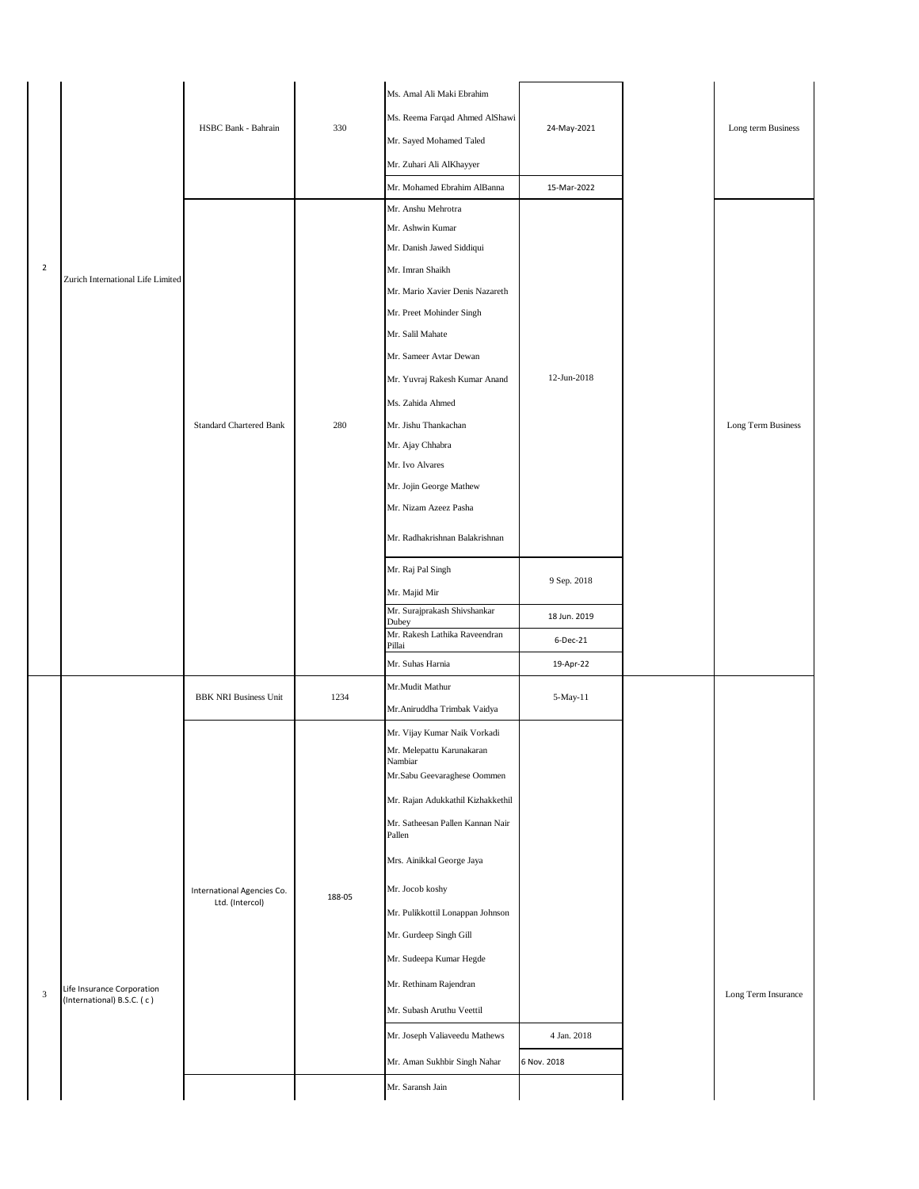|               |                                                          | HSBC Bank - Bahrain                           | 330    | Ms. Amal Ali Maki Ebrahim<br>Ms. Reema Farqad Ahmed AlShawi<br>Mr. Sayed Mohamed Taled<br>Mr. Zuhari Ali AlKhayyer<br>Mr. Mohamed Ebrahim AlBanna                                                                                                                                                                                                                                                                                                       | 24-May-2021<br>15-Mar-2022            | Long term Business  |
|---------------|----------------------------------------------------------|-----------------------------------------------|--------|---------------------------------------------------------------------------------------------------------------------------------------------------------------------------------------------------------------------------------------------------------------------------------------------------------------------------------------------------------------------------------------------------------------------------------------------------------|---------------------------------------|---------------------|
| $\sqrt{2}$    | Zurich International Life Limited                        | <b>Standard Chartered Bank</b>                | 280    | Mr. Anshu Mehrotra<br>Mr. Ashwin Kumar<br>Mr. Danish Jawed Siddiqui<br>Mr. Imran Shaikh<br>Mr. Mario Xavier Denis Nazareth<br>Mr. Preet Mohinder Singh<br>Mr. Salil Mahate<br>Mr. Sameer Avtar Dewan<br>Mr. Yuvraj Rakesh Kumar Anand<br>Ms. Zahida Ahmed<br>Mr. Jishu Thankachan<br>Mr. Ajay Chhabra<br>Mr. Ivo Alvares<br>Mr. Jojin George Mathew<br>Mr. Nizam Azeez Pasha<br>Mr. Radhakrishnan Balakrishnan<br>Mr. Raj Pal Singh                     | 12-Jun-2018<br>9 Sep. 2018            | Long Term Business  |
|               |                                                          |                                               |        | Mr. Majid Mir<br>Mr. Surajprakash Shivshankar<br>Dubey<br>Mr. Rakesh Lathika Raveendran<br>Pillai<br>Mr. Suhas Harnia                                                                                                                                                                                                                                                                                                                                   | 18 Jun. 2019<br>6-Dec-21<br>19-Apr-22 |                     |
|               |                                                          | <b>BBK NRI Business Unit</b>                  | 1234   | Mr.Mudit Mathur<br>Mr. Aniruddha Trimbak Vaidya                                                                                                                                                                                                                                                                                                                                                                                                         | 5-May-11                              |                     |
| $\mathfrak z$ | Life Insurance Corporation<br>(International) B.S.C. (c) | International Agencies Co.<br>Ltd. (Intercol) | 188-05 | Mr. Vijay Kumar Naik Vorkadi<br>Mr. Melepattu Karunakaran<br>Nambiar<br>Mr.Sabu Geevaraghese Oommen<br>Mr. Rajan Adukkathil Kizhakkethil<br>Mr. Satheesan Pallen Kannan Nair<br>Pallen<br>Mrs. Ainikkal George Jaya<br>Mr. Jocob koshy<br>Mr. Pulikkottil Lonappan Johnson<br>Mr. Gurdeep Singh Gill<br>Mr. Sudeepa Kumar Hegde<br>Mr. Rethinam Rajendran<br>Mr. Subash Aruthu Veettil<br>Mr. Joseph Valiaveedu Mathews<br>Mr. Aman Sukhbir Singh Nahar | 4 Jan. 2018<br>6 Nov. 2018            | Long Term Insurance |
|               |                                                          |                                               |        | Mr. Saransh Jain                                                                                                                                                                                                                                                                                                                                                                                                                                        |                                       |                     |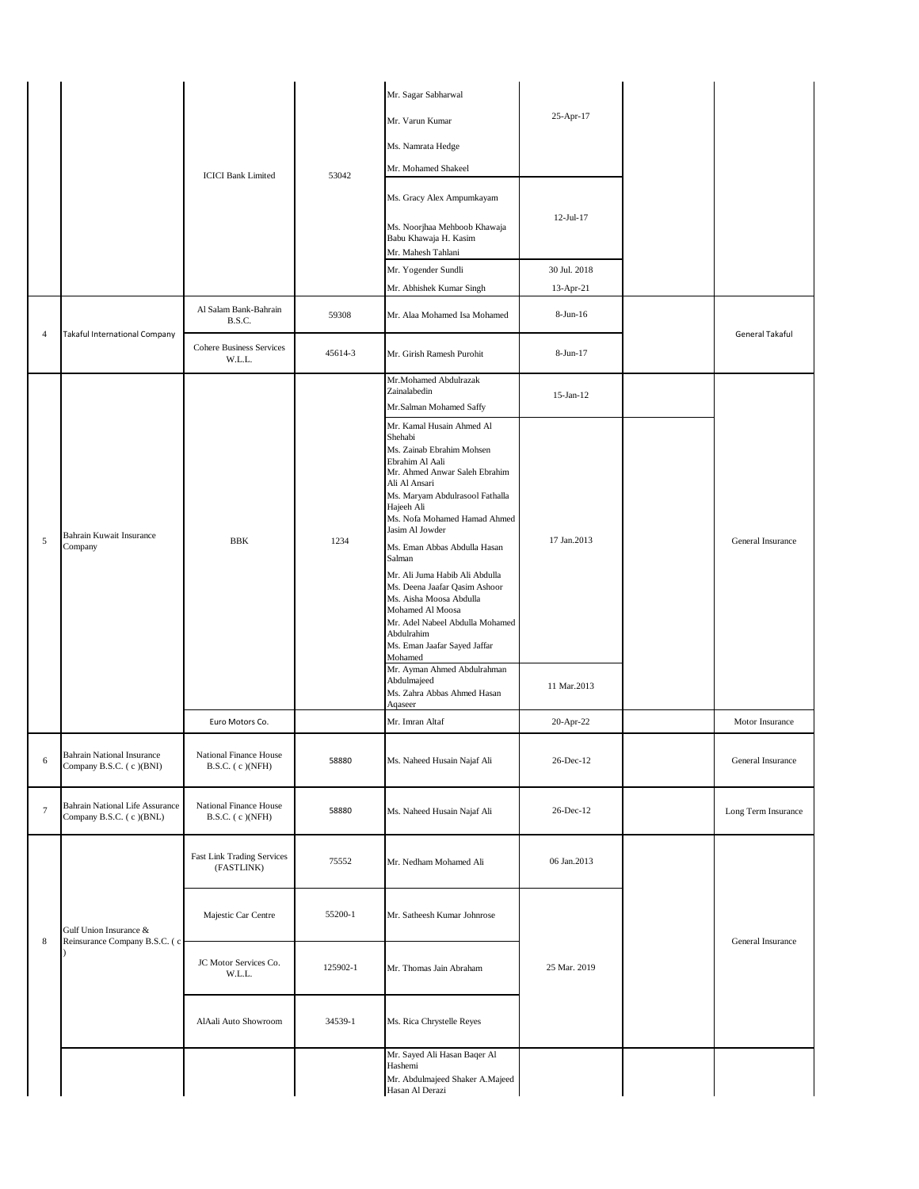|                |                                                                   | <b>ICICI Bank Limited</b>                                          | 53042            | Mr. Sagar Sabharwal<br>Mr. Varun Kumar<br>Ms. Namrata Hedge<br>Mr. Mohamed Shakeel<br>Ms. Gracy Alex Ampumkayam<br>Ms. Noorjhaa Mehboob Khawaja<br>Babu Khawaja H. Kasim<br>Mr. Mahesh Tahlani<br>Mr. Yogender Sundli<br>Mr. Abhishek Kumar Singh                                                                                                                                                                                                                                                                                                                                          | 25-Apr-17<br>12-Jul-17<br>30 Jul. 2018<br>13-Apr-21 |  |                     |
|----------------|-------------------------------------------------------------------|--------------------------------------------------------------------|------------------|--------------------------------------------------------------------------------------------------------------------------------------------------------------------------------------------------------------------------------------------------------------------------------------------------------------------------------------------------------------------------------------------------------------------------------------------------------------------------------------------------------------------------------------------------------------------------------------------|-----------------------------------------------------|--|---------------------|
| $\overline{4}$ | Takaful International Company                                     | Al Salam Bank-Bahrain<br>B.S.C.<br><b>Cohere Business Services</b> | 59308<br>45614-3 | Mr. Alaa Mohamed Isa Mohamed<br>Mr. Girish Ramesh Purohit                                                                                                                                                                                                                                                                                                                                                                                                                                                                                                                                  | $8-Jun-16$<br>8-Jun-17                              |  | General Takaful     |
|                |                                                                   | W.L.L.                                                             |                  | Mr.Mohamed Abdulrazak<br>Zainalabedin<br>Mr.Salman Mohamed Saffy                                                                                                                                                                                                                                                                                                                                                                                                                                                                                                                           | $15$ -Jan- $12$                                     |  |                     |
| $\overline{5}$ | Bahrain Kuwait Insurance<br>Company                               | <b>BBK</b>                                                         | 1234             | Mr. Kamal Husain Ahmed Al<br>Shehabi<br>Ms. Zainab Ebrahim Mohsen<br>Ebrahim Al Aali<br>Mr. Ahmed Anwar Saleh Ebrahim<br>Ali Al Ansari<br>Ms. Maryam Abdulrasool Fathalla<br>Hajeeh Ali<br>Ms. Nofa Mohamed Hamad Ahmed<br>Jasim Al Jowder<br>Ms. Eman Abbas Abdulla Hasan<br>Salman<br>Mr. Ali Juma Habib Ali Abdulla<br>Ms. Deena Jaafar Qasim Ashoor<br>Ms. Aisha Moosa Abdulla<br>Mohamed Al Moosa<br>Mr. Adel Nabeel Abdulla Mohamed<br>Abdulrahim<br>Ms. Eman Jaafar Sayed Jaffar<br>Mohamed<br>Mr. Ayman Ahmed Abdulrahman<br>Abdulmajeed<br>Ms. Zahra Abbas Ahmed Hasan<br>Aqaseer | 17 Jan.2013<br>11 Mar.2013                          |  | General Insurance   |
|                |                                                                   | Euro Motors Co.                                                    |                  | Mr. Imran Altaf                                                                                                                                                                                                                                                                                                                                                                                                                                                                                                                                                                            | 20-Apr-22                                           |  | Motor Insurance     |
| 6              | <b>Bahrain National Insurance</b><br>Company B.S.C. (c)(BNI)      | National Finance House<br>$B.S.C.$ (c) $(NFH)$                     | 58880            | Ms. Naheed Husain Najaf Ali                                                                                                                                                                                                                                                                                                                                                                                                                                                                                                                                                                | 26-Dec-12                                           |  | General Insurance   |
| $\tau$         | <b>Bahrain National Life Assurance</b><br>Company B.S.C. (c)(BNL) | National Finance House<br>$B.S.C.$ (c) $(NFH)$                     | 58880            | Ms. Naheed Husain Najaf Ali                                                                                                                                                                                                                                                                                                                                                                                                                                                                                                                                                                | 26-Dec-12                                           |  | Long Term Insurance |
|                |                                                                   | Fast Link Trading Services<br>(FASTLINK)                           | 75552            | Mr. Nedham Mohamed Ali                                                                                                                                                                                                                                                                                                                                                                                                                                                                                                                                                                     | 06 Jan.2013                                         |  |                     |
| $\,$ 8 $\,$    | Gulf Union Insurance &<br>Reinsurance Company B.S.C. (c)          | Majestic Car Centre                                                | 55200-1          | Mr. Satheesh Kumar Johnrose                                                                                                                                                                                                                                                                                                                                                                                                                                                                                                                                                                |                                                     |  | General Insurance   |
|                |                                                                   | JC Motor Services Co.<br>W.L.L.                                    | 125902-1         | Mr. Thomas Jain Abraham                                                                                                                                                                                                                                                                                                                                                                                                                                                                                                                                                                    | 25 Mar. 2019                                        |  |                     |
|                |                                                                   | AlAali Auto Showroom                                               | 34539-1          | Ms. Rica Chrystelle Reyes                                                                                                                                                                                                                                                                                                                                                                                                                                                                                                                                                                  |                                                     |  |                     |
|                |                                                                   |                                                                    |                  | Mr. Sayed Ali Hasan Baqer Al<br>Hashemi<br>Mr. Abdulmajeed Shaker A.Majeed<br>Hasan Al Derazi                                                                                                                                                                                                                                                                                                                                                                                                                                                                                              |                                                     |  |                     |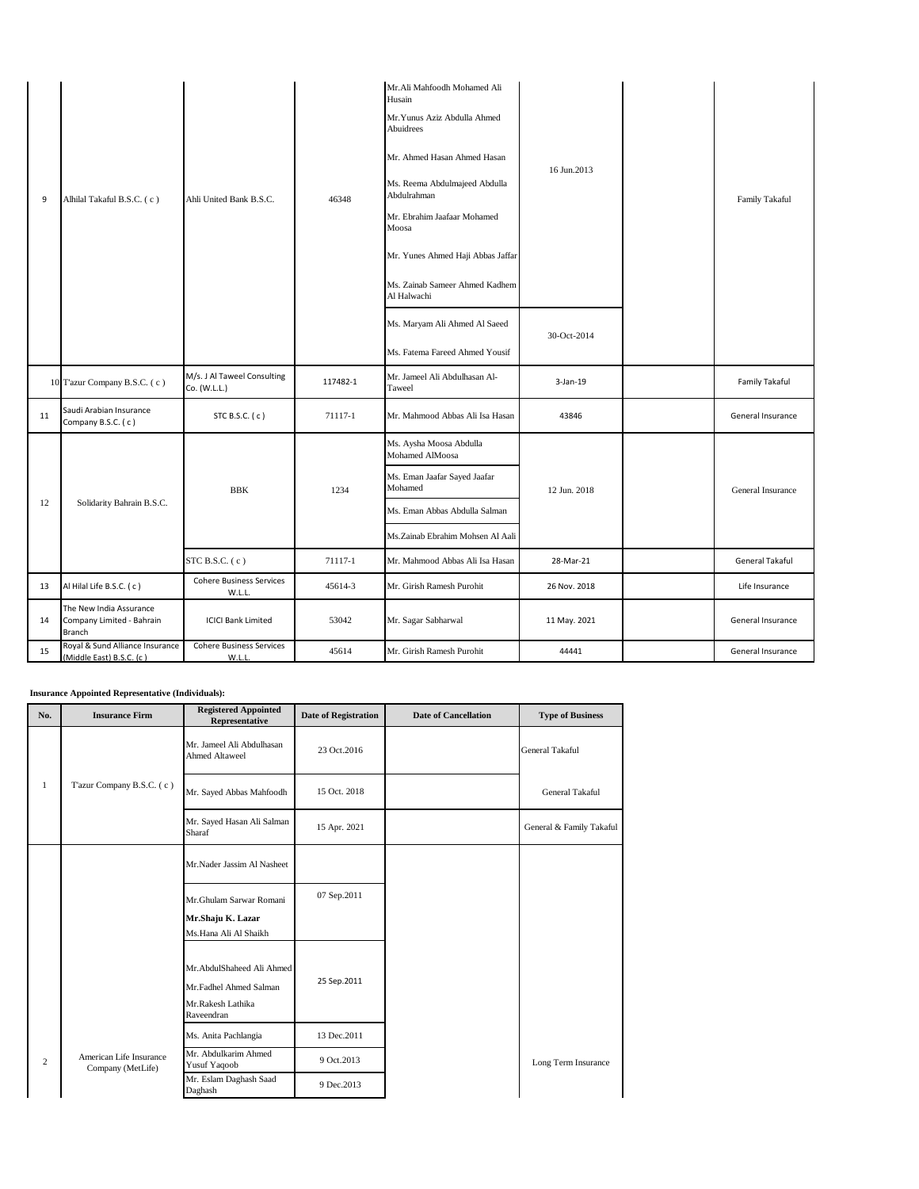| 9  | Alhilal Takaful B.S.C. (c)                                     | Ahli United Bank B.S.C.                     | 46348    | Mr.Ali Mahfoodh Mohamed Ali<br>Husain<br>Mr. Yunus Aziz Abdulla Ahmed<br>Abuidrees<br>Mr. Ahmed Hasan Ahmed Hasan<br>Ms. Reema Abdulmajeed Abdulla<br>Abdulrahman<br>Mr. Ebrahim Jaafaar Mohamed<br>Moosa<br>Mr. Yunes Ahmed Haji Abbas Jaffar<br>Ms. Zainab Sameer Ahmed Kadhem<br>Al Halwachi<br>Ms. Maryam Ali Ahmed Al Saeed | 16 Jun.2013<br>30-Oct-2014 | Family Takaful    |
|----|----------------------------------------------------------------|---------------------------------------------|----------|----------------------------------------------------------------------------------------------------------------------------------------------------------------------------------------------------------------------------------------------------------------------------------------------------------------------------------|----------------------------|-------------------|
|    |                                                                |                                             |          | Ms. Fatema Fareed Ahmed Yousif                                                                                                                                                                                                                                                                                                   |                            |                   |
|    | 10 Tazur Company B.S.C. (c)                                    | M/s. J Al Taweel Consulting<br>Co. (W.L.L.) | 117482-1 | Mr. Jameel Ali Abdulhasan Al-<br>Taweel                                                                                                                                                                                                                                                                                          | $3-Jan-19$                 | Family Takaful    |
| 11 | Saudi Arabian Insurance<br>Company B.S.C. (c)                  | STC B.S.C. (c)                              | 71117-1  | Mr. Mahmood Abbas Ali Isa Hasan                                                                                                                                                                                                                                                                                                  | 43846                      | General Insurance |
|    |                                                                |                                             |          | Ms. Aysha Moosa Abdulla<br>Mohamed AlMoosa                                                                                                                                                                                                                                                                                       |                            |                   |
|    |                                                                | <b>BBK</b>                                  | 1234     | Ms. Eman Jaafar Sayed Jaafar<br>Mohamed                                                                                                                                                                                                                                                                                          | 12 Jun. 2018               | General Insurance |
| 12 | Solidarity Bahrain B.S.C.                                      |                                             |          | Ms. Eman Abbas Abdulla Salman                                                                                                                                                                                                                                                                                                    |                            |                   |
|    |                                                                |                                             |          | Ms.Zainab Ebrahim Mohsen Al Aali                                                                                                                                                                                                                                                                                                 |                            |                   |
|    |                                                                | STC B.S.C. $(c)$                            | 71117-1  | Mr. Mahmood Abbas Ali Isa Hasan                                                                                                                                                                                                                                                                                                  | 28-Mar-21                  | General Takaful   |
| 13 | Al Hilal Life B.S.C. (c)                                       | <b>Cohere Business Services</b><br>W.L.L.   | 45614-3  | Mr. Girish Ramesh Purohit                                                                                                                                                                                                                                                                                                        | 26 Nov. 2018               | Life Insurance    |
| 14 | The New India Assurance<br>Company Limited - Bahrain<br>Branch | <b>ICICI Bank Limited</b>                   | 53042    | Mr. Sagar Sabharwal                                                                                                                                                                                                                                                                                                              | 11 May. 2021               | General Insurance |
| 15 | Royal & Sund Alliance Insurance<br>(Middle East) B.S.C. (c)    | <b>Cohere Business Services</b><br>W.L.L    | 45614    | Mr. Girish Ramesh Purohit                                                                                                                                                                                                                                                                                                        | 44441                      | General Insurance |

**Insurance Appointed Representative (Individuals):** 

| No.            | <b>Insurance Firm</b>                        | <b>Registered Appointed</b><br>Representative                                          | <b>Date of Registration</b> | <b>Date of Cancellation</b> | <b>Type of Business</b>  |
|----------------|----------------------------------------------|----------------------------------------------------------------------------------------|-----------------------------|-----------------------------|--------------------------|
|                |                                              | Mr. Jameel Ali Abdulhasan<br><b>Ahmed Altaweel</b>                                     | 23 Oct.2016                 |                             | <b>General Takaful</b>   |
| 1              | T'azur Company B.S.C. (c)                    | Mr. Sayed Abbas Mahfoodh                                                               | 15 Oct. 2018                |                             | General Takaful          |
|                |                                              | Mr. Sayed Hasan Ali Salman<br>Sharaf                                                   | 15 Apr. 2021                |                             | General & Family Takaful |
|                |                                              | Mr.Nader Jassim Al Nasheet                                                             |                             |                             |                          |
|                |                                              | Mr.Ghulam Sarwar Romani<br>Mr.Shaju K. Lazar<br>Ms.Hana Ali Al Shaikh                  | 07 Sep.2011                 |                             |                          |
|                |                                              | Mr.AbdulShaheed Ali Ahmed<br>Mr.Fadhel Ahmed Salman<br>Mr.Rakesh Lathika<br>Raveendran | 25 Sep.2011                 |                             |                          |
|                |                                              | Ms. Anita Pachlangia                                                                   | 13 Dec. 2011                |                             |                          |
| $\overline{2}$ | American Life Insurance<br>Company (MetLife) | Mr. Abdulkarim Ahmed<br>Yusuf Yaqoob                                                   | 9 Oct. 2013                 |                             | Long Term Insurance      |
|                |                                              | Mr. Eslam Daghash Saad<br>Daghash                                                      | 9 Dec. 2013                 |                             |                          |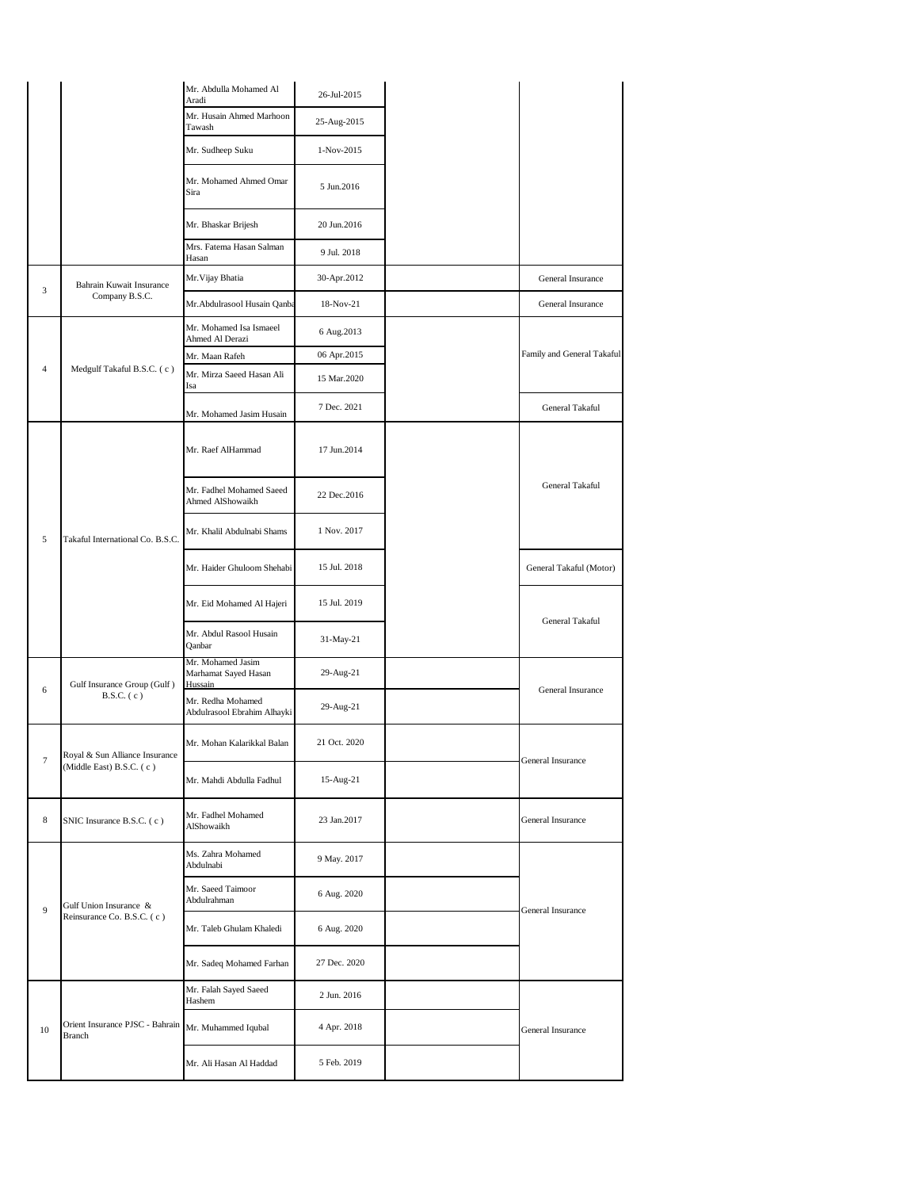|                |                                           | Mr. Abdulla Mohamed Al<br>Aradi                      | 26-Jul-2015  |  |                            |  |
|----------------|-------------------------------------------|------------------------------------------------------|--------------|--|----------------------------|--|
|                |                                           | Mr. Husain Ahmed Marhoon<br>Tawash                   | 25-Aug-2015  |  |                            |  |
|                |                                           | Mr. Sudheep Suku                                     | 1-Nov-2015   |  |                            |  |
|                |                                           | Mr. Mohamed Ahmed Omar<br>Sira                       | 5 Jun.2016   |  |                            |  |
|                |                                           | Mr. Bhaskar Brijesh                                  | 20 Jun.2016  |  |                            |  |
|                |                                           | Mrs. Fatema Hasan Salman<br>Hasan                    | 9 Jul. 2018  |  |                            |  |
| 3              | Bahrain Kuwait Insurance                  | Mr. Vijay Bhatia                                     | 30-Apr.2012  |  | General Insurance          |  |
|                | Company B.S.C.                            | Mr.Abdulrasool Husain Qanba                          | 18-Nov-21    |  | General Insurance          |  |
|                |                                           | Mr. Mohamed Isa Ismaeel<br>Ahmed Al Derazi           | 6 Aug. 2013  |  |                            |  |
|                |                                           | Mr. Maan Rafeh                                       | 06 Apr.2015  |  | Family and General Takaful |  |
| $\overline{4}$ | Medgulf Takaful B.S.C. (c)                | Mr. Mirza Saeed Hasan Ali<br>Isa                     | 15 Mar.2020  |  |                            |  |
|                |                                           | Mr. Mohamed Jasim Husain                             | 7 Dec. 2021  |  | General Takaful            |  |
|                |                                           | Mr. Raef AlHammad                                    | 17 Jun.2014  |  |                            |  |
|                | Takaful International Co. B.S.C.          | Mr. Fadhel Mohamed Saeed<br>Ahmed AlShowaikh         | 22 Dec. 2016 |  | <b>General Takaful</b>     |  |
| 5              |                                           | Mr. Khalil Abdulnabi Shams                           | 1 Nov. 2017  |  |                            |  |
|                |                                           | Mr. Haider Ghuloom Shehabi                           | 15 Jul. 2018 |  | General Takaful (Motor)    |  |
|                |                                           | Mr. Eid Mohamed Al Hajeri                            | 15 Jul. 2019 |  | General Takaful            |  |
|                |                                           | Mr. Abdul Rasool Husain<br>Qanbar                    | 31-May-21    |  |                            |  |
| 6              | Gulf Insurance Group (Gulf)               | Mr. Mohamed Jasim<br>Marhamat Sayed Hasan<br>Hussain | 29-Aug-21    |  | General Insurance          |  |
|                | $B.S.C.$ (c)                              | Mr. Redha Mohamed<br>Abdulrasool Ebrahim Alhayki     | 29-Aug-21    |  |                            |  |
| $\tau$         | Royal & Sun Alliance Insurance            | Mr. Mohan Kalarikkal Balan                           | 21 Oct. 2020 |  | General Insurance          |  |
|                | (Middle East) B.S.C. (c)                  | Mr. Mahdi Abdulla Fadhul                             | 15-Aug-21    |  |                            |  |
| 8              | SNIC Insurance B.S.C. (c)                 | Mr. Fadhel Mohamed<br>AlShowaikh                     | 23 Jan.2017  |  | General Insurance          |  |
|                |                                           | Ms. Zahra Mohamed<br>Abdulnabi                       | 9 May. 2017  |  |                            |  |
|                | Gulf Union Insurance &                    | Mr. Saeed Taimoor<br>Abdulrahman                     | 6 Aug. 2020  |  |                            |  |
| 9              | Reinsurance Co. B.S.C. (c)                | Mr. Taleb Ghulam Khaledi                             | 6 Aug. 2020  |  | General Insurance          |  |
|                |                                           | Mr. Sadeq Mohamed Farhan                             | 27 Dec. 2020 |  |                            |  |
|                |                                           | Mr. Falah Sayed Saeed<br>Hashem                      | 2 Jun. 2016  |  |                            |  |
| 10             | Orient Insurance PJSC - Bahrain<br>Branch | Mr. Muhammed Iqubal                                  | 4 Apr. 2018  |  | General Insurance          |  |
|                |                                           | Mr. Ali Hasan Al Haddad                              | 5 Feb. 2019  |  |                            |  |